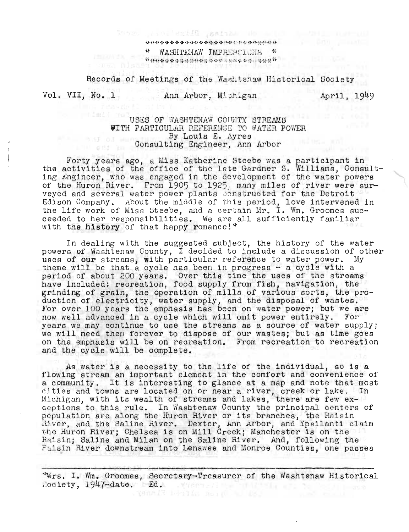$+$ WASHTENAW IMPRESEIONS \* \*\*\*\*\*\*\*\*\*\*\*\*\*\*\*\*\*\*\*\*\*\*\*\*\*\*\*\*\*\*\*\*\*\*\*\*\*\*

Records of Meetings of the WasLtenaw Historical Society

Sees that we have do added to a control to a

Vol. VII, No. 1 Ann Arbor, Michigan

April, 1949

## USES OF WASHTENAW COUNTY STREAMS WITH PARTICULAR REFERENGE TO WATER POWER By Louis E. Ayres External External Engineer, Ann Arbor<br>
Consulting Engineer, Ann Arbor

Forty years ago, a Miss Katherine Steebe was a participant in the activities of the office of the late Gardner S. Williams, Consulting Engineer, who was engaged in the development of the water powers of the Huron River. From 1905 to 1925 many miles of river were surveyed and several water power plants constructed for the Detroit Edison Company. About the middle of this period, love intervened in the life work of Miss Steebe, and a certain Mr. I. Wm. Groomes succeeded to her responsibilities. We are all sufficiently familiar with the history of that happy romance!\*

In dealing with the suggested subject, the history of the water powers of Washtenaw County, I decided to include a discussion of other uses of our streams, with particular reference to water power. My theme will be that a cycle has been in progress  $-$  a cycle with a period of about 200 years. Over this time the uses of the streams have included: recreation, food supply from fish, navigation, the grinding of grain, the operation of mills of various sorts, the production of electricity, water supply, and the disposal of wastes. For over 100 years the emphasis has been on water power; but we are now well advanced in a cycle which will omit power entirely. For iow well advanced in a cycle which will omit power cheffely. To:<br>rears we may continue to use the streams as a source of water supply; ears we may continue to use the streams as a source or water supply,<br>we will need them forever to dispose of our wastes; but as time goes on the emphasis will be on recreation. From recreation to recreation and the cycle will be complete.

As water is a necessity to the life of the individual, so is a flowing stream an important element in the comfort and convenience of iowing stream an important element in the comiort and convenience of.<br>a community. It is interesting to glance at a map and note that most a community. It is interesting to giance at a map and note that most<br>itles and towns are located on or near a river, creek or lake. In ities and towns are located on or near a river, creek or lake. .<br>Lichigan, with its wealth of streams and lakes, there are few exitchigan, with its weatth of streams and fakes, there are few ex-<br>eptions to this rule. In Washtenaw County the principal centers of eptions to this rule. In washtenaw County the principal centers<br>population are along the Huron River or its branches, the Raisin reparation are along the nuron hiver of fits branches, the haising.<br>Miver, and the Saline River. Dexter, Ann Arbor, and Ypsilanti claim tiver, and the Baline River. Dexter, Ann Arbor, and ipsilanti c<br>he Huron River; Chelsea is on Mill Creek; Manchester is on the Raisin; Saline and Milan on the Saline River. And, following the Paisin River downstream into Lenawee and Monroe Counties, one passes

"Wrs. I. Wm. Groomes, Secretary-Treasurer of the Washtenaw Historical 2ociety, 1947-date. Ed.

a bang latin nan di 191 min 21 min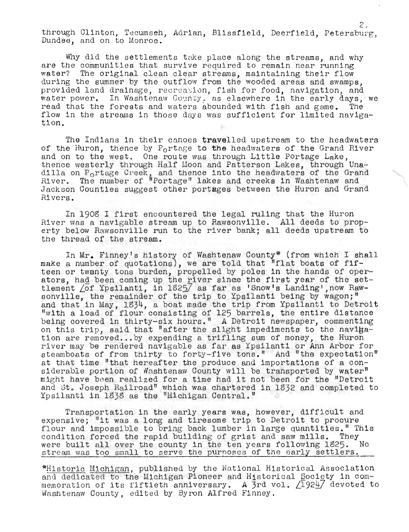through Clinton, Tecumseh, Adrian, Blissfield, Deerfield, Petersburg, Dundee, and on to Monroe.

Why did the settlements take place along the streams, and why are the communities that survive required to remain near running water? The original clean clear streams, maintaining their flow during the summer by the outflow from the wooded areas and swamps, provided land drainage, recreation, fish for food, navigation, and water power. In Washtenaw County, as elsewhere in the early days, we read that the forests and waters abounded with fish and game. The flow in the streams in those days was sufficient for limited navigation.

The Indians in their canoes travelled upstream to the headwaters of the Huron, thence by  $P_0$ rtage to the headwaters of the Grand River and on to the west. One route was through Little Portage Lake, thence westerly through Half Moon and Patterson Lakes, through Unadience westerly through half moon and ratterson bakes, through ona-<br>dilla on P<sub>O</sub>rtage Creek, and thence into the headwaters of the Grand Alver. The number of "Portage" lakes and creeks in Washtenaw and Jackson Counties suggest other portages between the Huron and Grand Rivers.

In 1908 I first encountered the legal ruling that the Huron River was a navigable stream up to Rawsonville. All deeds to property below Rawsonville run to the river bank; all deeds upstream to the thread of the stream.

In Mr. Finney1s history of Washtenaw County\* (from which I shall make a number of quotations), we are told that "flat boats of fifteen or twenty tons burden, propelled by poles in the hands of operdeen or twanty tons burden, properied by poles in the hands of oper-<br>ators, ha<u>d</u> been coming up the <u>r</u>iver sinœe the first year of the settlement /of Ypsilanti, in 1825/ as far as 'Snow's Landing', now Rawsitement for ipsilantly in form as far as bhow s banding , now have interested by the remainder of the trip to Ypsilanti being by wagon;" and that in May, 1834, a boat made the trip from Ypsilanti to Detroit With a load of flour consisting of 125 barrels, the entire distance being covered in thirty-six hours." A Detroit newspaper, commenting oring covered in this ty-six hours. A betroit hewspaper, commenting<br>on this trip, said that "after the slight impediments to the navigation are removed...by expending a trifling sum of money, the Huron river may be rendered navigable as far as Ypsilanti or Ann Arbor for steamboats of from thirty to forty-five tons." And "the expectation" at that time "that hereafter the produce and importations of a considerable portion of Washtenaw County will be transported by water" might have been realized for a time had it not been for the "Detroit and St. Joseph Railroad" which was chartered in 1832 and completed to Ypsilanti in 1838 as the "Michigan Central."

Transportation in the early years was, however, difficult and expensive; "it was a long and tiresome trip to Detroit to procure flour and impossible to bring back lumber in large quantities." This condition forced the rapid building of grist and saw mills. They<br>were built all over the county in the ten years following 1825. No were built all over the county in the ten years following 1825. stream was too small to serve the purposes of the early settlers.

\*Historic Michigan, published by the National Historical Association and dedicated to the Michigan Pioneer and Historical Society in commemoration of its fiftieth anniversary. A 3rd vol.  $\angle$ 192 $\frac{1}{2}$  devoted to Washtenaw County, edited by Byron Alfred Finney.

*r-,*  c. •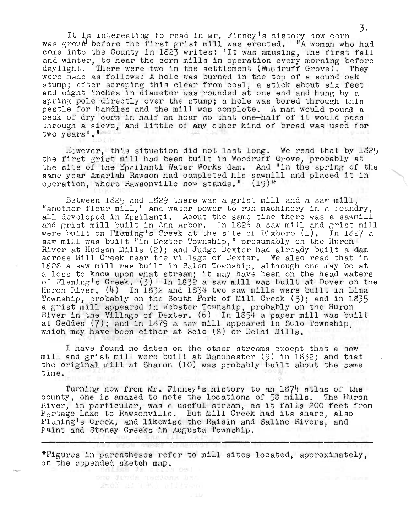3.<br>It is interesting to read in Mr. Finney's history how corn was groun before the first grist mill was erected. "A woman who had was grown before the first grist mill was erected. The woman who had<br>come into the County in 1823 writes: 'It was amusing, the first fall and winter, to hear the corn mills in operation every morning before daylight. There were two in the settlement (Woodruff Grove). They were made as follows: A hole was burned in the top of a sound oak stump; after scraping this clear from coal, a stick about six feet and eight inches in diameter was rounded at one end and hung by a spring pole directly over the stump; a hole was bored through this pestle for handles and the mill was complete. A man would pound a peck of dry corn in half an hour so that one-half of it would pass through a sieve, and little of any other kind of bread was used for two years'."

However, this situation did not last long. We read that by 1825 the first grist mill had been built in Woodruff Grove, probably at the site of the Ypsilanti Water Works dam. And "in the spring of the same year Amariah Rawson had completed his sawmill and placed it in operation, where Rawsonville now stands." (19)\*

Between  $1825$  and  $1829$  there was a grist mill and a saw mill, "another flour mill," and water power to run machinery in a foundry, all developed in Ypsilanti. About the same time there was a sawmill and grist mill built in Ann Arbor. In lS26 a saw mill and grist mill and griss mill bails in him hiber. In 1929 a saw mill and griss mill saw mill was built "in Dexter Township," presumably on the Huron River at Hudson Mills (2); and Judge Dexter had already built a dam across Mill Creek near the village of Dexter. We also read that in 18 2S a saw mill was built in Salem Township, although one may be at a loss to know upon what stream; it may have been on the head waters of Flemingls Creek. (3) In 1832 a saw mill was built at Dover on the Huron River.  $(4)$  In 1832 and 1834 two saw mills were built in Lima Township, probably on the South Fork of Mill Creek  $(5)$ ; and in 1835 a grist mill appeared in . Johnston Tomman by the Huron and the Huron and the Huron a grist mill apposited in woodter romanip, proceeding on the March.<br>River in the Village of Dexter. (6) In 1854 a paper mill was built at Geddes  $(7)$ ; and in 1879 a saw mill appeared in Scio Township, which may have been either at Scio  $(8)$  or Delhi Mills.

I have found no dates on the other streams except that a saw mill and grist mill were built at Manchester (9) in 1832; and that the original mill at Sharon (10) was probably built about the same time.

Turning now from Mr. Finney's history to an 1874 atlas of the county, one is amaz ed to note the loc ations of 5S mills. The HUron River, in particular, was a useful stream, as it falls 200 feet from Portage Lake to Rawsonville. But Mill Creek had its share, also Fleming's Creek, and likewise the Raisin and Saline Rivers, and Paint and Stoney Creeks in Augusta Township.

\*Figures in parentheses refer to mill sites located, approximately, on the appended sketch map.

> - 武治 - 白 助古 段限 SHO JUDIA TenJong har amos as test allieva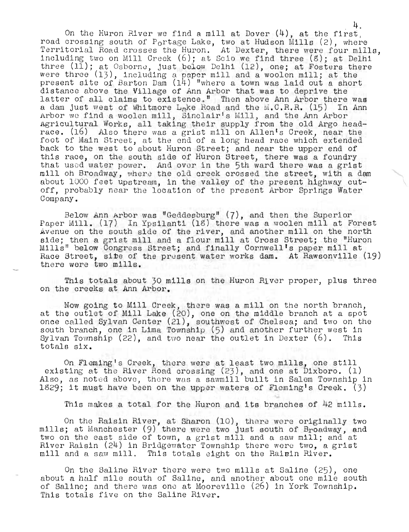On the Huron River we find a mill at Dover  $(4)$ , at the first, road crossing south of  $P_0$ rtage Lake, two at Hudson Mills (2), where Territorial Road crosses the Huron. At Dexter, there were four mills, including two on Mill Creek (6); at Scio we find three (5); at Delhi three (11); at Osborne, just below Delhi (12), one; at Fosters there were three (13), including a paper mill and a woolen mill; at the present site of Barton Dam (14) "where a town was laid out a short distance above the Village of Ann Arbor that was to deprive the latter of all claims to existence," Then above Ann Arbor there was a dam just west of Whitmore Lake Road and the M.C.R.R. (15) In Ann Arbor we find a woolen mill, Sinclair's Mill, and the Ann Arbor Agricultural Works, all taking their supply from the old Argo headrace. (16) Also there was a grist mill on Allen's Creek, near the foot of Main Street, at the cnd of a long head race which extended back to the west to about Huron Street; and near the upper end of this race, on the south side of HUron Street, there was a foundry that used water power. And over in the 5th ward there was a grist mill oh Broadway, where the old creek crossed the street, with a dam about 1000 feet upstream, in the valley of the present highway cutoff, probably near the location of the present Arbor Springs Water Company.

4.

Below Ann Arbor was "Geddesburg" (7), and then the Superior Paper Mill. (17) In Ypsilanti (18) there was a woolen mill at Forest Avenue on the south side of the river, and another mill on the north side; then a grist mill and a flour mill at Cross Street; the "Huron Mills" below Congress Street; and finally Cornwell's paper mill at Race Street, site of the present water works dam. At Rawsonville (19) there were two mills.

This totals about 30 mills on the Huron Hiver proper, plus three on the creeks at Ann Arbor.

Now going to Mill Creek, there was a mill on the north branch, at the outlet of Mill Lake (20), one on the middle branch at a spot once called Sylvan Center (21), southwest of Chelsea; and two on the south branch, one in Lima Township (5) and another further west in South Branch, one in Bina Township (3) and another further west in<br>Sylvan Township (22), and two near the outlet in Dexter (6). This totals six.

On Fleming's Creek, there were at least two mills, one still existing at the River Road crossing  $(23)$ , and one at Dixboro.  $(1)$ Also, as noted above, there was a sawmill built in Salem Township in 1829; it must have been on the upper waters of Fleming's Creek.  $(3)$ 

This makes a total for the Huron and its branches of 42 mills.

On the Raisin River, at Sharon (10), there were originally two mills; at Manchester (9) there were two just south of Broadway, and two on the east side of town, a grist mill and a saw mill; and at River Raisin (24) in Bridgewater Township there were two, a grist mill and a saw mill. This totals eight on the Raisin River.

On the Saline Rlver there were two mills at Saline (25), one about a half mile south of Saline, and another about one mile south of Saline; and there was ono at Mooreville (26) in York Township. This totals five on the Saline River.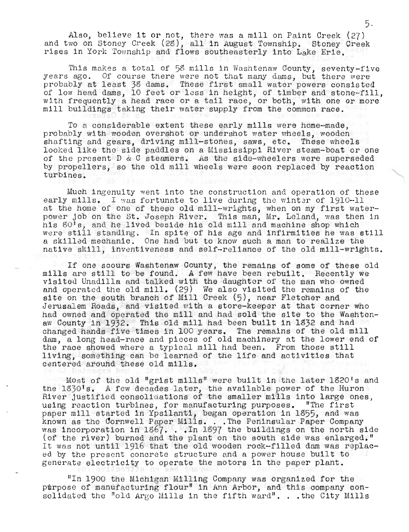Also, believe it or not, there was a mill on Paint Creek (27) and two on Stoney Creek (28), all in August Township. Stoney Creek rises in York Township and flows southeasterly into Lake Erie.

This makes a total of 58 mills in Washtenaw County, seventy-five years ago. Of course there were not that many dams, but there were probably at least 38 dams. These first small water powers consisted of low head dams, 10 feet or less in height, of timber and stone-fill, with frequently a head race or a tail race, or both, with one or more mill buildings taking their water supply from the common race.

To a considerable extent these early mills were home-made, probably with wooden overshot or undershot water wheels, wooden shafting and gears, driving mill-stones, saws, etc. These wheels looked like the side paddles on a Mississippi River steam-boat or one of the present  $D \& C$  steamers. As the side-wheelers were superseded by propellers, so the old mill wheels were soon replaced by reaction turbines.

Much ingenuity went into the construction and operation of these early mills. I was fortunate to live during the winter of 1910-11 early mills. I was fortunated to live daring the winter of literature. power job on the St. Joseph River. This man, Mr. Leland, was then in his 80's, and he lived beside his old mill and machine shop which were still standing. In spite of his age and infirmities he was still a skilled mechanic. One had but to know such a man to realize the native skill, inventiveness and self-reliance of the old mill-wrights.

If one scours Washtenaw County, the remains of some of these old mills are still to be found. A few have been rebuilt. Recently we visited Unadilla and talked with the daughter of the man who owned and operated the old mill. (29) We also visited the remains of the site on the south branch of Mill Creek (5), near Fletcher and Jerusalem Roads, and visited with a store-keeper at that corner who had owned and operated the mill and had sold the site to the Washtenaw County in 1932. This old mill had been built in 1832 and had changed hands five times in 100 years. The remains of the old mill dam, a long head-race and pieces of old machinery at the lower end of the race showed where a typical mill had been. From those still living, something can be learned of the life and activities that centered arouhd these old mills.

Most of the old "grist mills" were built in the later 1820's and the 1830's. A few decades later, the available power of the Huron River justified consolidations of the smaller mills into large ones, using reaction turbines, for manufacturing purposes. "The first paper mill started in Ypsilanti, began operation in 1355, and was example and the state of the manufacturing purposes. The lines<br>happer mill started in Ypsilanti, began operation in 1855, and was<br>known as the Cornwell Paper Mills. . . The Peninsular Paper Company was incorporation in 1367... In 1397 the buildings on the north side (of the niumal bunded in the north side of the niumal bunded in the north side of the niumal bunded in the north side of the niumal bunded in the south s (of the river) burned and the plant on the south side was enlarged." It was not until 1916 that the old wooden rock-filled dam was replaced by the present concrete structure and a power house built to generate electricity to operate the motors in the paper plant.

"In 1900 the Michigan Milling Company was organized for the purpose of manufacturing flour" in Ann Arbor, and this company consolidated the "old Argo Mills in the fifth ward". ..the City Mills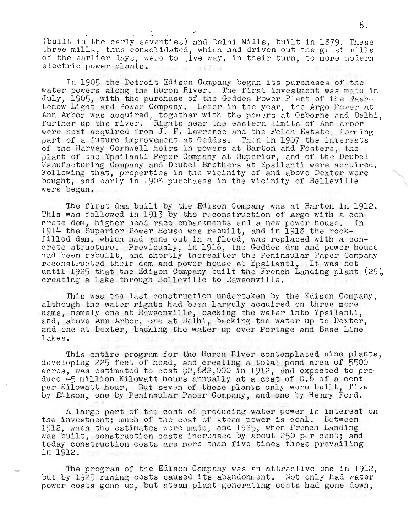(built in the early seventies) and Delhi Mills, built in 1879. These three mills, thus consolidated, which had driven out the grist mills of the earlier days, were to give way, in their turn, to more modern electric power plants. tunil al informa

In 1905 the Detroit Edison Company began its purchases of the water powers along the Huron River. The first investment was made in July, 1905, with the purchase of the Geddes Power Plant of the Washtenaw Light and Power Company. Later in the year, the Argo Power at Ann Arbor was acquired, together with the powers at Osborne and Delhi. further up the river. Rights near the eastern limits of Ann Arbor were next acquired from J. F. Lawrence and the Felch Estate, forming part of a future improvement at Geddes. Then in 1907 the interests of the Harvey Cornwell heirs in powers at Barton and Fosters, the plant of the Ypsilanti Paper Company at Superior, and of the Deubel Manufacturing Company and Deubel Brothers at Ypsilanti were acquired. Following that, properties in the vicinity of and above Dexter were bought, and early in 1908 purchases in the vicinity of Belleville were begun.

The first dam built by the Edison Company was at Barton in 1912. This was followed in 1913 by the reconstruction of Argo with a concrete dam, higher head race embankments and a new power house.  $In$ 1914 the Superior Power House was rebuilt, and in 1918 the rockfilled dam, which had gone out in a flood, was replaced with a concrete structure. Previously, in 1916, the Geddes dam and power house had been rebuilt, and shortly thereafter the Peninsular Paper Company reconstructed their dam and power house at Ypsilanti. It was not until 1925 that the Edison Company built the French Landing plant (29), creating a lake through Belleville to Rawsonville.

This was the last construction undertaken by the Edison Company, although the water rights had been largely acquired on three more dams, namely one at Rawsonville, backing the water into Ypsilanti, and, above Ann Arbor, one at Delhi, backing the water up to Dexter, and one at Dexter, backing the water up over Portage and Base Line lakes. of and de sa hideem big

This entire program for the Huron River contemplated nine plants, developing 225 feet of head, and creating a total pond area of 5500 acres, was estimated to cost 2,682,000 in 1912, and expected to produce 45 million Kilowatt hours annually at a cost of 0.6 of a cent per Kilowatt hour. But seven of these plants only were built, five by Edison, one by Peninsular Paper Company, and one by Henry Ford.

A large part of the cost of producing water power is interest on the investment; much of the cost of steam power is coal. Between 1912, when the estimates were made, and 1925, when French Landing was built, construction costs increased by about 250 per cent; and today construction costs are more than five times those prevailing in 1912.

The program of the Edison Company was an attractive one in 1912, but by 1925 rising costs caused its abandonment. Not only had water power costs gone up, but steam plant generating costs had gone down,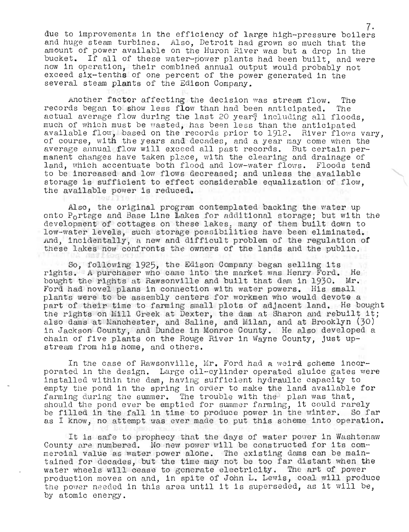due to improvements in the efficiency of large high-pressure boilers and huge steam turbines. Also, Detroit had grown so much that the amount of power available on the Huron River was but a drop in the bucket. If all of these water-power plants had been built, and were now in operation, their combined annual output would probably not exceed six-tenths of one percent of the power generated in the several steam plants of the Edison Company.

Another factor affecting the decision was stream flow. The records began to show less flow than had been anticipated. The actual average flow during the last 20 year; including all floods, much of which must be wasted, has been less than the anticipated available flow, based on the records prior to 1912, River flows vary. of course, with the years and decades, and a year may come when the average annual flow will exceed all past records. But certain permanent changes have taken place, with the clearing and drainage of land, which accentuate both flood and low-water flows. Floods tend to be increased and low flows decreased; and unless the available storage is sufficient to effect considerable equalization of flow, the available power is reduced.

Also, the original program contemplated backing the water up onto P<sub>o</sub>rtage and Base Line Lakes for additional storage; but with the development of cottages on these lakes; many of them built down to low-water levels, such storage p08Gibilities have been eliminated. And, incidentally, a new and difficult problem of the regulation of these lakes now confronts the owners of the lands and the public.

So, follmving 1925, the Edison Company began selling its rights. A purchaser who came into the market was Henry Ford. He bought the rights at Rawsonville and built that dam in 1930. Mr. Ford had novel plans in connection with water powers. His small plants were to be assembly centers for workmen who would devote a part of their time to farming small plots of adjacent land. He bought the rights on Mill Creek at Dexter, the dam at Sharon and rebuilt it; also dams at Manchester, and Saline, and Milan, and at Brooklyn (30) in Jackson County, and Dundee in Monroe County. He also developed a chain of five plants on the Rouge River in Wayne County, just upstream from his home, and others.

In the case of Rawsonville, Mr. Ford had a weird scheme incorporated in the design. Large oil-cylinder operated sluice gates were installed within the dam, having sufficient hydraulic capacity to empty the pond in the spring in order to make the land available for farming during the summer. The trouble with the plan was that, should the pond ever be emptied for summer farming, it could rarely be filled in the fall in time to produce power in the winter. So far as I know, no attempt was ever made to put this scheme into operation.

It is safe to prophecy that the days of water power in Washtenaw County nre numbered. No new power will be constructed for its commercial value as water power alone. The existing dams can be maintained for decades, but the time may not be too far distant when the water wheels will cease to generate electricity. The art of power production moves on and, in spite of John L. Lewis, coal will produce the power needed in this area until it is superseded, as it will be, by atomic energy.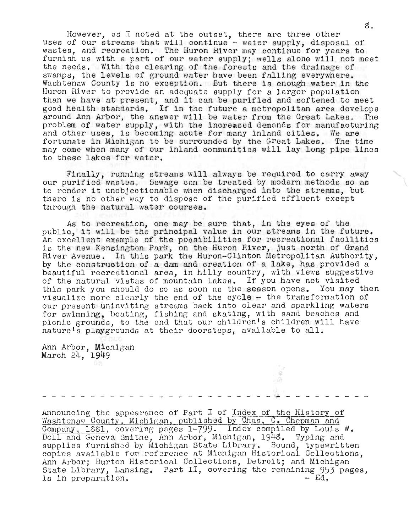However, as I noted at the outset, there are three other uses of our streams that will continue - water supply, disposal of wastes, and recreation. The Huron River may continue for years to furnish us with a part of our water supply; wells alone will not meet the needs. With the clearing of the forests and the drainage of swamps, the levels of ground water have been falling everywhere. Washtenaw County is no exceptIon. But there is enough water in the Huron River to provide an adequate supply for a larger population than we have at present, and it can be purified and softened to meet good health standards. If in the future a metropolitan area develops around Ann Arbor, the answer wlll be water from the Great Lakes. The problem of water supply, with the increased demands for manufacturing and other uses, is becoming acute for many inland cities. We are fortuna te in Michigan to be surrounded by the Great Lakes. The time may come when many of our inland communities will lay long pipe lines to these lakes for water.

Finally, running streams will always be required to carry away our purified wastes. Sewage can be treated by modern methods so as to render it unobjectionable when discharged into the streams, but there is no other way to dispose of the purified effluent except through the natural water courses.

As to recreation, one may be sure that, in the eyes of the public, it will be the principal value in our streams in the future. An oxcellent example of the possibilities for recreational facilities is the new Kensington Park, on the Huron River, just north of Grand River Avenue. In this park the Huron-Clinton Metropolitan Authority, by the construction of a dam and creation of a lake, has provided a beautiful recreational area, in hilly country, with views suggestive of the natural vistas of mountain lakes. If you have not visited this park you should do so as soon as the season opens. You may then visualizo more clearly the end of the cycle - the transformation of our present uninviting streams back into clear and sparkling waters for swimming, boating, fishing and skating, with sand beaches and picnic grounds, to the end that our children's children will have naturels playgrounds at their doorsteps, available to all.

Ann Arbor, Michigan March 24, 1949

Ŗ

Announcing the appearance of Part I of Index of the History of Washtenaw County, Michigan, published by Chas. C. Chapman and Company, 1881, covering pages 1-799. Index compiled by Louis W. Doll and Geneva Smithe, Ann Arbor, Mich1gan, 1948, Typing and supplies furnished by Michigan State Library. Bound, typewritten copies available for reference at Michigan Historical Collections. Ann Arbor; Burton Historical Collections, Detroit; and Michigan inn arbor; burton nistorical collections, betroit; and michigan<br>State Library, Lansing, Part II, covering the remaining 953 pages, is in preparation. - Ed,